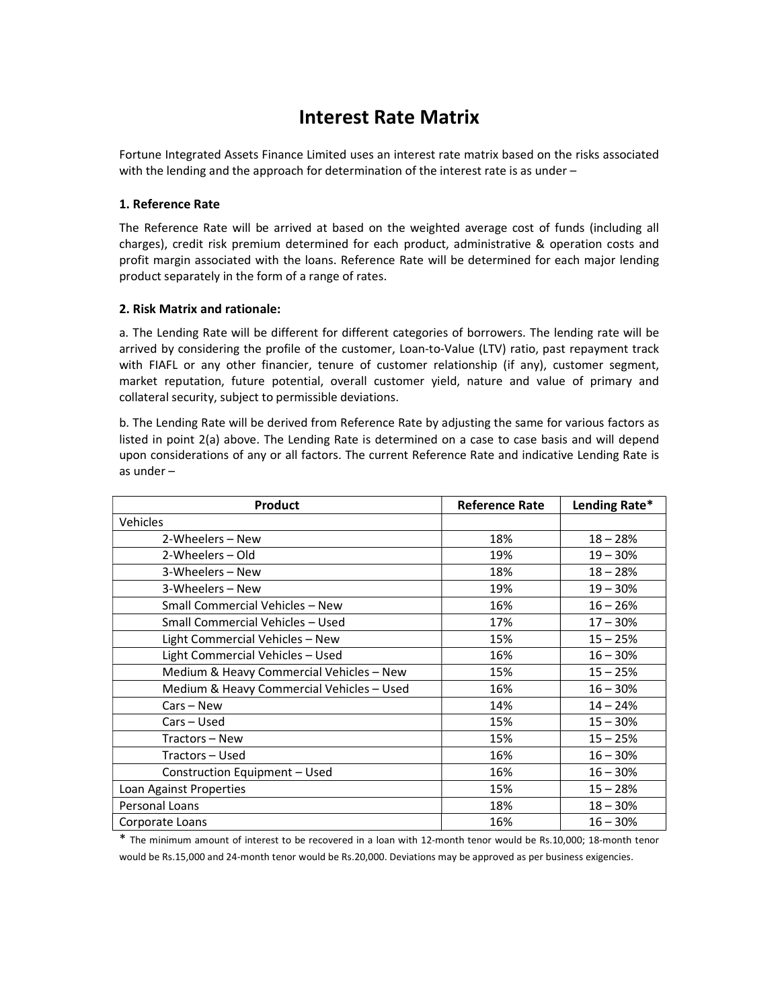# Interest Rate Matrix

Fortune Integrated Assets Finance Limited uses an interest rate matrix based on the risks associated with the lending and the approach for determination of the interest rate is as under –

### 1. Reference Rate

The Reference Rate will be arrived at based on the weighted average cost of funds (including all charges), credit risk premium determined for each product, administrative & operation costs and profit margin associated with the loans. Reference Rate will be determined for each major lending product separately in the form of a range of rates.

## 2. Risk Matrix and rationale:

a. The Lending Rate will be different for different categories of borrowers. The lending rate will be arrived by considering the profile of the customer, Loan-to-Value (LTV) ratio, past repayment track with FIAFL or any other financier, tenure of customer relationship (if any), customer segment, market reputation, future potential, overall customer yield, nature and value of primary and collateral security, subject to permissible deviations.

b. The Lending Rate will be derived from Reference Rate by adjusting the same for various factors as listed in point 2(a) above. The Lending Rate is determined on a case to case basis and will depend upon considerations of any or all factors. The current Reference Rate and indicative Lending Rate is as under –

| Product                                   | <b>Reference Rate</b> | Lending Rate* |
|-------------------------------------------|-----------------------|---------------|
| <b>Vehicles</b>                           |                       |               |
| 2-Wheelers – New                          | 18%                   | $18 - 28%$    |
| 2-Wheelers - Old                          | 19%                   | $19 - 30%$    |
| 3-Wheelers - New                          | 18%                   | $18 - 28%$    |
| 3-Wheelers - New                          | 19%                   | $19 - 30%$    |
| Small Commercial Vehicles - New           | 16%                   | $16 - 26%$    |
| Small Commercial Vehicles - Used          | 17%                   | $17 - 30%$    |
| Light Commercial Vehicles - New           | 15%                   | $15 - 25%$    |
| Light Commercial Vehicles - Used          | 16%                   | $16 - 30%$    |
| Medium & Heavy Commercial Vehicles - New  | 15%                   | $15 - 25%$    |
| Medium & Heavy Commercial Vehicles - Used | 16%                   | $16 - 30%$    |
| $Cars - New$                              | 14%                   | $14 - 24%$    |
| Cars - Used                               | 15%                   | $15 - 30%$    |
| Tractors – New                            | 15%                   | $15 - 25%$    |
| Tractors - Used                           | 16%                   | $16 - 30%$    |
| Construction Equipment - Used             | 16%                   | $16 - 30%$    |
| Loan Against Properties                   | 15%                   | $15 - 28%$    |
| Personal Loans                            | 18%                   | $18 - 30%$    |
| Corporate Loans                           | 16%                   | $16 - 30%$    |

\* The minimum amount of interest to be recovered in a loan with 12-month tenor would be Rs.10,000; 18-month tenor would be Rs.15,000 and 24-month tenor would be Rs.20,000. Deviations may be approved as per business exigencies.